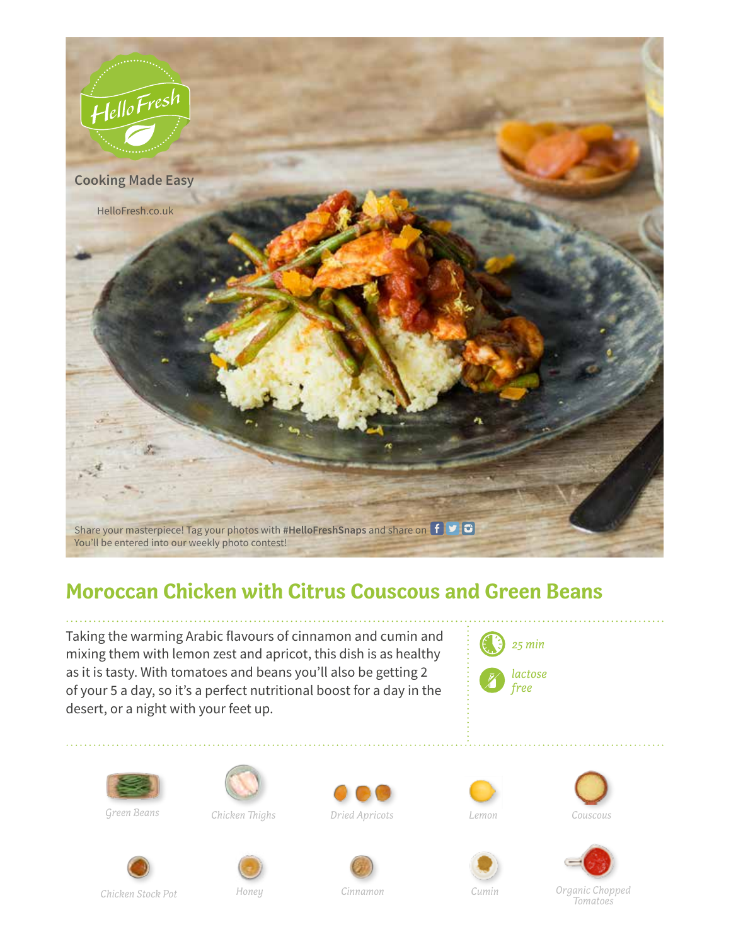

## **Moroccan Chicken with Citrus Couscous and Green Beans**

Taking the warming Arabic flavours of cinnamon and cumin and mixing them with lemon zest and apricot, this dish is as healthy as it is tasty. With tomatoes and beans you'll also be getting 2 of your 5 a day, so it's a perfect nutritional boost for a day in the desert, or a night with your feet up.





Green Beans



Chicken Thighs









Cumin





Chicken Stock Pot

Honey

Cinnamon

Organic Chopped Tomatoes